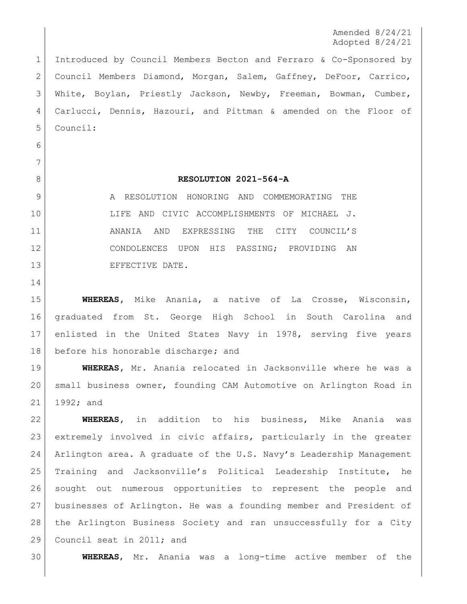Amended 8/24/21 Adopted 8/24/21

 Introduced by Council Members Becton and Ferraro & Co-Sponsored by Council Members Diamond, Morgan, Salem, Gaffney, DeFoor, Carrico, White, Boylan, Priestly Jackson, Newby, Freeman, Bowman, Cumber, Carlucci, Dennis, Hazouri, and Pittman & amended on the Floor of Council:

 

## **RESOLUTION 2021-564-A**

9 A RESOLUTION HONORING AND COMMEMORATING THE LIFE AND CIVIC ACCOMPLISHMENTS OF MICHAEL J. 11 ANANIA AND EXPRESSING THE CITY COUNCIL'S CONDOLENCES UPON HIS PASSING; PROVIDING AN 13 EFFECTIVE DATE.

 **WHEREAS,** Mike Anania, a native of La Crosse, Wisconsin, graduated from St. George High School in South Carolina and enlisted in the United States Navy in 1978, serving five years before his honorable discharge**;** and

 **WHEREAS,** Mr. Anania relocated in Jacksonville where he was a small business owner, founding CAM Automotive on Arlington Road in 1992; and

 **WHEREAS,** in addition to his business, Mike Anania was extremely involved in civic affairs, particularly in the greater Arlington area. A graduate of the U.S. Navy's Leadership Management Training and Jacksonville's Political Leadership Institute, he sought out numerous opportunities to represent the people and businesses of Arlington. He was a founding member and President of the Arlington Business Society and ran unsuccessfully for a City 29 Council seat in 2011; and

**WHEREAS**, Mr. Anania was a long-time active member of the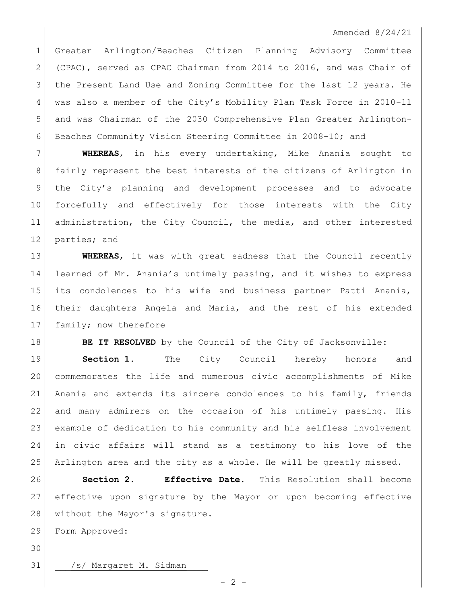Greater Arlington/Beaches Citizen Planning Advisory Committee (CPAC), served as CPAC Chairman from 2014 to 2016, and was Chair of the Present Land Use and Zoning Committee for the last 12 years. He was also a member of the City's Mobility Plan Task Force in 2010-11 and was Chairman of the 2030 Comprehensive Plan Greater Arlington-Beaches Community Vision Steering Committee in 2008-10; and

 **WHEREAS**, in his every undertaking, Mike Anania sought to fairly represent the best interests of the citizens of Arlington in the City's planning and development processes and to advocate forcefully and effectively for those interests with the City 11 administration, the City Council, the media, and other interested parties; and

 **WHEREAS**, it was with great sadness that the Council recently learned of Mr. Anania's untimely passing, and it wishes to express its condolences to his wife and business partner Patti Anania, their daughters Angela and Maria, and the rest of his extended 17 family; now therefore

**BE IT RESOLVED** by the Council of the City of Jacksonville:

 **Section 1.** The City Council hereby honors and commemorates the life and numerous civic accomplishments of Mike Anania and extends its sincere condolences to his family, friends and many admirers on the occasion of his untimely passing. His example of dedication to his community and his selfless involvement in civic affairs will stand as a testimony to his love of the Arlington area and the city as a whole. He will be greatly missed.

 **Section 2. Effective Date.** This Resolution shall become effective upon signature by the Mayor or upon becoming effective 28 without the Mayor's signature.

Form Approved:

31 | /s/ Margaret M. Sidman